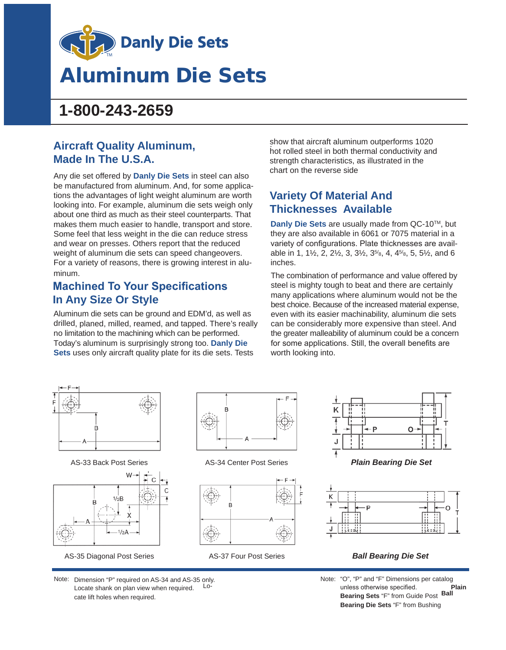

# Aluminum Die Sets

# **1-800-243-2659**

### **Aircraft Quality Aluminum, Made In The U.S.A.**

Any die set offered by **Danly Die Sets** in steel can also be manufactured from aluminum. And, for some applications the advantages of light weight aluminum are worth looking into. For example, aluminum die sets weigh only about one third as much as their steel counterparts. That makes them much easier to handle, transport and store. Some feel that less weight in the die can reduce stress and wear on presses. Others report that the reduced weight of aluminum die sets can speed changeovers. For a variety of reasons, there is growing interest in aluminum.

### **Machined To Your Specifications In Any Size Or Style**

Aluminum die sets can be ground and EDM'd, as well as drilled, planed, milled, reamed, and tapped. There's really no limitation to the machining which can be performed. Today's aluminum is surprisingly strong too. **Danly Die Sets** uses only aircraft quality plate for its die sets. Tests

. show that aircraft aluminum outperforms 1020 hot rolled steel in both thermal conductivity and strength characteristics, as illustrated in the chart on the reverse side

## **Variety Of Material And Thicknesses Available**

**Danly Die Sets** are usually made from QC-10TM, but they are also available in 6061 or 7075 material in a variety of configurations. Plate thicknesses are available in 1, 1 $\frac{1}{2}$ , 2, 2 $\frac{1}{2}$ , 3, 3 $\frac{1}{2}$ , 3<sup>5/</sup><sub>8</sub>, 4, 4<sup>5/</sup><sub>8</sub>, 5, 5<sup>1</sup>/<sub>2</sub>, and 6 inches.

The combination of performance and value offered by steel is mighty tough to beat and there are certainly many applications where aluminum would not be the best choice. Because of the increased material expense, even with its easier machinability, aluminum die sets can be considerably more expensive than steel. And the greater malleability of aluminum could be a concern for some applications. Still, the overall benefits are worth looking into.



AS-33 Back Post Series



AS-35 Diagonal Post Series



AS-34 Center Post Series *Plain Bearing Die Set*







#### AS-37 Four Post Series *Ball Bearing Die Set*

Note: "O", "P" and "F" Dimensions per catalog unless otherwise specified. **Plain Bearing Sets** "F" from Guide Post **Ball Bearing Die Sets** "F" from Bushing

Note: Dimension "P" required on AS-34 and AS-35 only. Locate shank on plan view when required. cate lift holes when required.